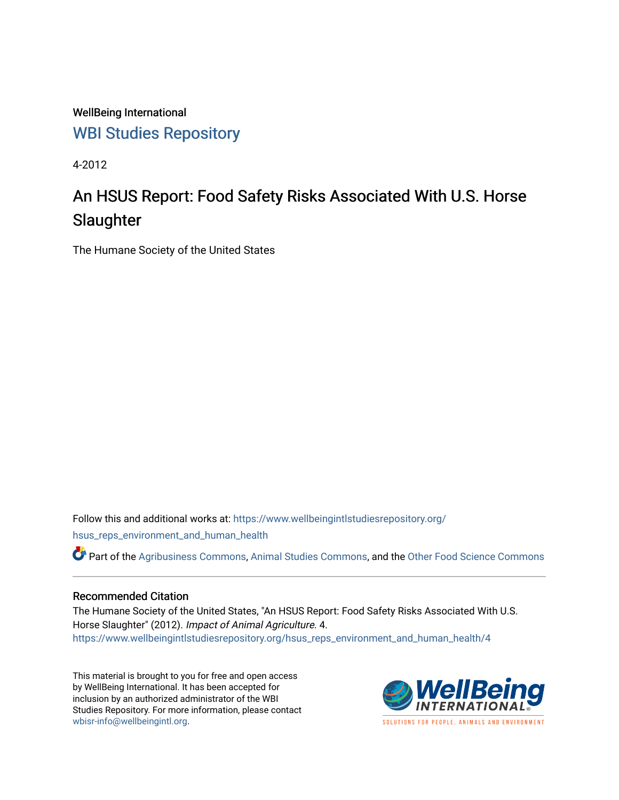WellBeing International [WBI Studies Repository](https://www.wellbeingintlstudiesrepository.org/)

4-2012

# An HSUS Report: Food Safety Risks Associated With U.S. Horse **Slaughter**

The Humane Society of the United States

Follow this and additional works at: [https://www.wellbeingintlstudiesrepository.org/](https://www.wellbeingintlstudiesrepository.org/hsus_reps_environment_and_human_health?utm_source=www.wellbeingintlstudiesrepository.org%2Fhsus_reps_environment_and_human_health%2F4&utm_medium=PDF&utm_campaign=PDFCoverPages) [hsus\\_reps\\_environment\\_and\\_human\\_health](https://www.wellbeingintlstudiesrepository.org/hsus_reps_environment_and_human_health?utm_source=www.wellbeingintlstudiesrepository.org%2Fhsus_reps_environment_and_human_health%2F4&utm_medium=PDF&utm_campaign=PDFCoverPages)

Part of the [Agribusiness Commons,](http://network.bepress.com/hgg/discipline/1051?utm_source=www.wellbeingintlstudiesrepository.org%2Fhsus_reps_environment_and_human_health%2F4&utm_medium=PDF&utm_campaign=PDFCoverPages) [Animal Studies Commons](http://network.bepress.com/hgg/discipline/1306?utm_source=www.wellbeingintlstudiesrepository.org%2Fhsus_reps_environment_and_human_health%2F4&utm_medium=PDF&utm_campaign=PDFCoverPages), and the [Other Food Science Commons](http://network.bepress.com/hgg/discipline/89?utm_source=www.wellbeingintlstudiesrepository.org%2Fhsus_reps_environment_and_human_health%2F4&utm_medium=PDF&utm_campaign=PDFCoverPages) 

# Recommended Citation

The Humane Society of the United States, "An HSUS Report: Food Safety Risks Associated With U.S. Horse Slaughter" (2012). Impact of Animal Agriculture. 4. [https://www.wellbeingintlstudiesrepository.org/hsus\\_reps\\_environment\\_and\\_human\\_health/4](https://www.wellbeingintlstudiesrepository.org/hsus_reps_environment_and_human_health/4?utm_source=www.wellbeingintlstudiesrepository.org%2Fhsus_reps_environment_and_human_health%2F4&utm_medium=PDF&utm_campaign=PDFCoverPages) 

This material is brought to you for free and open access by WellBeing International. It has been accepted for inclusion by an authorized administrator of the WBI Studies Repository. For more information, please contact [wbisr-info@wellbeingintl.org](mailto:wbisr-info@wellbeingintl.org).



SOLUTIONS FOR PEOPLE. ANIMALS AND ENVIRONMENT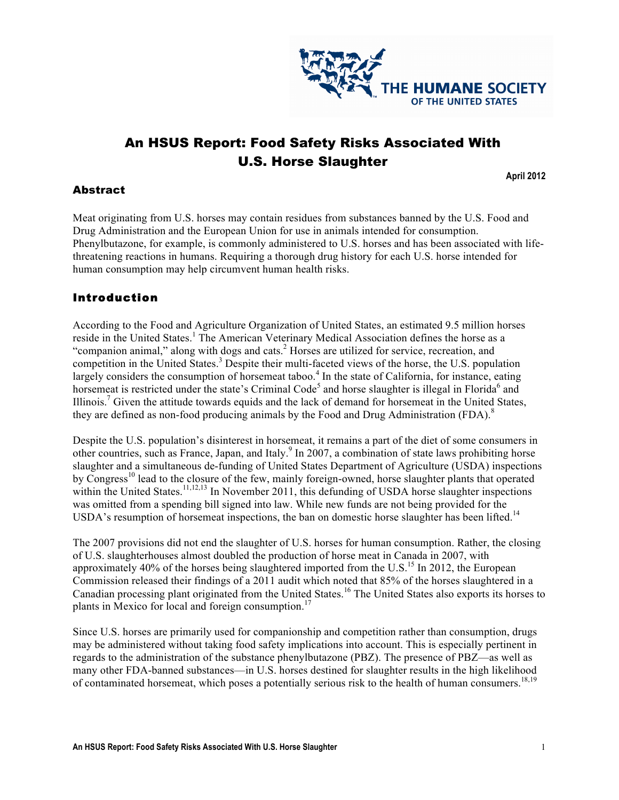

# An HSUS Report: Food Safety Risks Associated With U.S. Horse Slaughter

**April 2012**

# Abstract

Meat originating from U.S. horses may contain residues from substances banned by the U.S. Food and Drug Administration and the European Union for use in animals intended for consumption. Phenylbutazone, for example, is commonly administered to U.S. horses and has been associated with lifethreatening reactions in humans. Requiring a thorough drug history for each U.S. horse intended for human consumption may help circumvent human health risks.

# Introduction

According to the Food and Agriculture Organization of United States, an estimated 9.5 million horses reside in the United States.<sup>1</sup> The American Veterinary Medical Association defines the horse as a "companion animal," along with dogs and cats.<sup>2</sup> Horses are utilized for service, recreation, and competition in the United States. <sup>3</sup> Despite their multi-faceted views of the horse, the U.S. population largely considers the consumption of horsemeat taboo.<sup>4</sup> In the state of California, for instance, eating horsemeat is restricted under the state's Criminal Code<sup>5</sup> and horse slaughter is illegal in Florida<sup>6</sup> and Illinois.<sup>7</sup> Given the attitude towards equids and the lack of demand for horsemeat in the United States, they are defined as non-food producing animals by the Food and Drug Administration (FDA).<sup>8</sup>

Despite the U.S. population's disinterest in horsemeat, it remains a part of the diet of some consumers in other countries, such as France, Japan, and Italy.<sup>9</sup> In 2007, a combination of state laws prohibiting horse slaughter and a simultaneous de-funding of United States Department of Agriculture (USDA) inspections by Congress<sup>10</sup> lead to the closure of the few, mainly foreign-owned, horse slaughter plants that operated within the United States.<sup>11,12,13</sup> In November 2011, this defunding of USDA horse slaughter inspections was omitted from a spending bill signed into law. While new funds are not being provided for the USDA's resumption of horsemeat inspections, the ban on domestic horse slaughter has been lifted.<sup>14</sup>

The 2007 provisions did not end the slaughter of U.S. horses for human consumption. Rather, the closing of U.S. slaughterhouses almost doubled the production of horse meat in Canada in 2007, with approximately 40% of the horses being slaughtered imported from the U.S.<sup>15</sup> In 2012, the European Commission released their findings of a 2011 audit which noted that 85% of the horses slaughtered in a Canadian processing plant originated from the United States.<sup>16</sup> The United States also exports its horses to plants in Mexico for local and foreign consumption.<sup>17</sup>

Since U.S. horses are primarily used for companionship and competition rather than consumption, drugs may be administered without taking food safety implications into account. This is especially pertinent in regards to the administration of the substance phenylbutazone (PBZ). The presence of PBZ—as well as many other FDA-banned substances—in U.S. horses destined for slaughter results in the high likelihood of contaminated horsemeat, which poses a potentially serious risk to the health of human consumers.<sup>18,19</sup>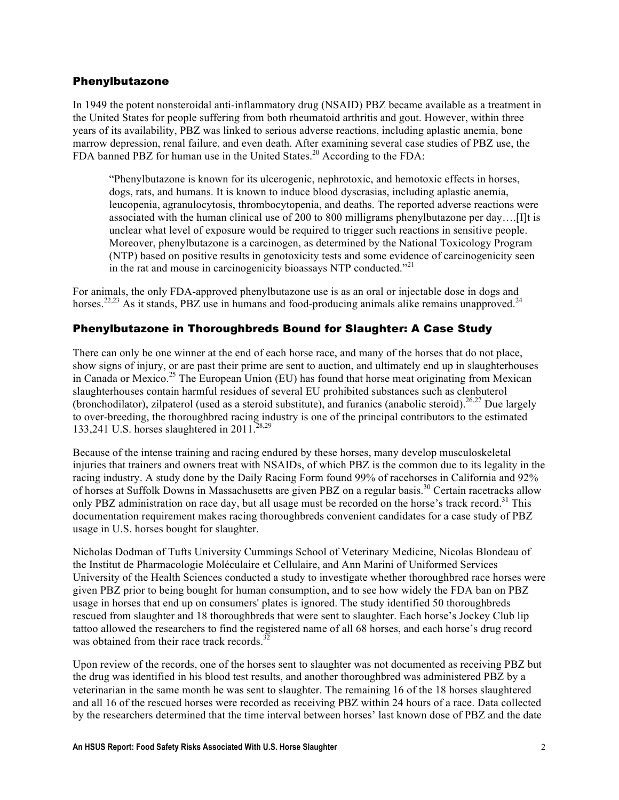#### Phenylbutazone

In 1949 the potent nonsteroidal anti-inflammatory drug (NSAID) PBZ became available as a treatment in the United States for people suffering from both rheumatoid arthritis and gout. However, within three years of its availability, PBZ was linked to serious adverse reactions, including aplastic anemia, bone marrow depression, renal failure, and even death. After examining several case studies of PBZ use, the FDA banned PBZ for human use in the United States.<sup>20</sup> According to the FDA:

"Phenylbutazone is known for its ulcerogenic, nephrotoxic, and hemotoxic effects in horses, dogs, rats, and humans. It is known to induce blood dyscrasias, including aplastic anemia, leucopenia, agranulocytosis, thrombocytopenia, and deaths. The reported adverse reactions were associated with the human clinical use of 200 to 800 milligrams phenylbutazone per day….[I]t is unclear what level of exposure would be required to trigger such reactions in sensitive people. Moreover, phenylbutazone is a carcinogen, as determined by the National Toxicology Program (NTP) based on positive results in genotoxicity tests and some evidence of carcinogenicity seen in the rat and mouse in carcinogenicity bioassays NTP conducted."<sup>21</sup>

For animals, the only FDA-approved phenylbutazone use is as an oral or injectable dose in dogs and horses.<sup>22,23</sup> As it stands, PBZ use in humans and food-producing animals alike remains unapproved.<sup>24</sup>

# Phenylbutazone in Thoroughbreds Bound for Slaughter: A Case Study

There can only be one winner at the end of each horse race, and many of the horses that do not place, show signs of injury, or are past their prime are sent to auction, and ultimately end up in slaughterhouses in Canada or Mexico.<sup>25</sup> The European Union (EU) has found that horse meat originating from Mexican slaughterhouses contain harmful residues of several EU prohibited substances such as clenbuterol (bronchodilator), zilpaterol (used as a steroid substitute), and furanics (anabolic steroid).<sup>26,27</sup> Due largely to over-breeding, the thoroughbred racing industry is one of the principal contributors to the estimated 133,241 U.S. horses slaughtered in  $2011.^{28,29}$ 

Because of the intense training and racing endured by these horses, many develop musculoskeletal injuries that trainers and owners treat with NSAIDs, of which PBZ is the common due to its legality in the racing industry. A study done by the Daily Racing Form found 99% of racehorses in California and 92% of horses at Suffolk Downs in Massachusetts are given PBZ on a regular basis.<sup>30</sup> Certain racetracks allow only PBZ administration on race day, but all usage must be recorded on the horse's track record.<sup>31</sup> This documentation requirement makes racing thoroughbreds convenient candidates for a case study of PBZ usage in U.S. horses bought for slaughter.

Nicholas Dodman of Tufts University Cummings School of Veterinary Medicine, Nicolas Blondeau of the Institut de Pharmacologie Moléculaire et Cellulaire, and Ann Marini of Uniformed Services University of the Health Sciences conducted a study to investigate whether thoroughbred race horses were given PBZ prior to being bought for human consumption, and to see how widely the FDA ban on PBZ usage in horses that end up on consumers' plates is ignored. The study identified 50 thoroughbreds rescued from slaughter and 18 thoroughbreds that were sent to slaughter. Each horse's Jockey Club lip tattoo allowed the researchers to find the registered name of all 68 horses, and each horse's drug record was obtained from their race track records.<sup>3</sup>

Upon review of the records, one of the horses sent to slaughter was not documented as receiving PBZ but the drug was identified in his blood test results, and another thoroughbred was administered PBZ by a veterinarian in the same month he was sent to slaughter. The remaining 16 of the 18 horses slaughtered and all 16 of the rescued horses were recorded as receiving PBZ within 24 hours of a race. Data collected by the researchers determined that the time interval between horses' last known dose of PBZ and the date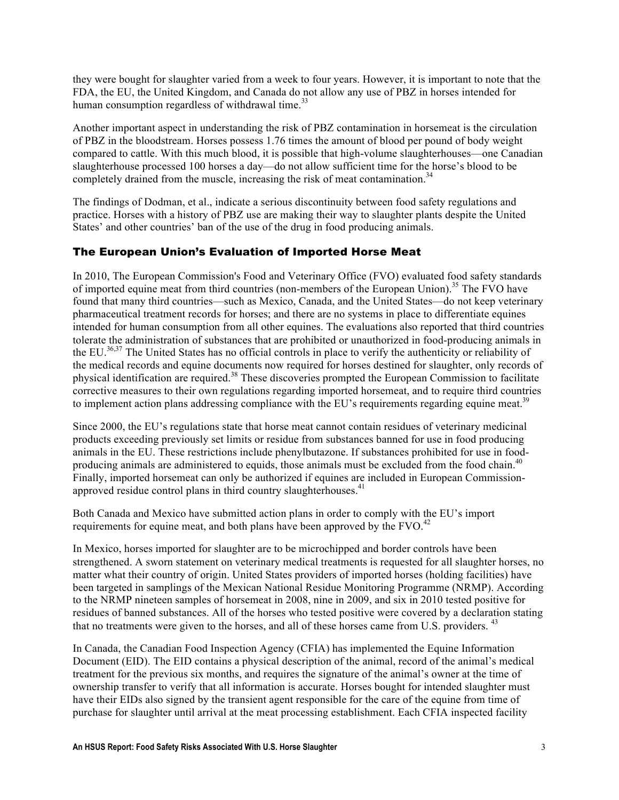they were bought for slaughter varied from a week to four years. However, it is important to note that the FDA, the EU, the United Kingdom, and Canada do not allow any use of PBZ in horses intended for human consumption regardless of withdrawal time.<sup>33</sup>

Another important aspect in understanding the risk of PBZ contamination in horsemeat is the circulation of PBZ in the bloodstream. Horses possess 1.76 times the amount of blood per pound of body weight compared to cattle. With this much blood, it is possible that high-volume slaughterhouses—one Canadian slaughterhouse processed 100 horses a day—do not allow sufficient time for the horse's blood to be completely drained from the muscle, increasing the risk of meat contamination.<sup>34</sup>

The findings of Dodman, et al., indicate a serious discontinuity between food safety regulations and practice. Horses with a history of PBZ use are making their way to slaughter plants despite the United States' and other countries' ban of the use of the drug in food producing animals.

# The European Union's Evaluation of Imported Horse Meat

In 2010, The European Commission's Food and Veterinary Office (FVO) evaluated food safety standards of imported equine meat from third countries (non-members of the European Union).<sup>35</sup> The FVO have found that many third countries—such as Mexico, Canada, and the United States—do not keep veterinary pharmaceutical treatment records for horses; and there are no systems in place to differentiate equines intended for human consumption from all other equines. The evaluations also reported that third countries tolerate the administration of substances that are prohibited or unauthorized in food-producing animals in the EU.<sup>36,37</sup> The United States has no official controls in place to verify the authenticity or reliability of the medical records and equine documents now required for horses destined for slaughter, only records of physical identification are required.<sup>38</sup> These discoveries prompted the European Commission to facilitate corrective measures to their own regulations regarding imported horsemeat, and to require third countries to implement action plans addressing compliance with the EU's requirements regarding equine meat.<sup>39</sup>

Since 2000, the EU's regulations state that horse meat cannot contain residues of veterinary medicinal products exceeding previously set limits or residue from substances banned for use in food producing animals in the EU. These restrictions include phenylbutazone. If substances prohibited for use in foodproducing animals are administered to equids, those animals must be excluded from the food chain.<sup>40</sup> Finally, imported horsemeat can only be authorized if equines are included in European Commissionapproved residue control plans in third country slaughterhouses.<sup>41</sup>

Both Canada and Mexico have submitted action plans in order to comply with the EU's import requirements for equine meat, and both plans have been approved by the  $FVO.<sup>42</sup>$ 

In Mexico, horses imported for slaughter are to be microchipped and border controls have been strengthened. A sworn statement on veterinary medical treatments is requested for all slaughter horses, no matter what their country of origin. United States providers of imported horses (holding facilities) have been targeted in samplings of the Mexican National Residue Monitoring Programme (NRMP). According to the NRMP nineteen samples of horsemeat in 2008, nine in 2009, and six in 2010 tested positive for residues of banned substances. All of the horses who tested positive were covered by a declaration stating that no treatments were given to the horses, and all of these horses came from U.S. providers. <sup>43</sup>

In Canada, the Canadian Food Inspection Agency (CFIA) has implemented the Equine Information Document (EID). The EID contains a physical description of the animal, record of the animal's medical treatment for the previous six months, and requires the signature of the animal's owner at the time of ownership transfer to verify that all information is accurate. Horses bought for intended slaughter must have their EIDs also signed by the transient agent responsible for the care of the equine from time of purchase for slaughter until arrival at the meat processing establishment. Each CFIA inspected facility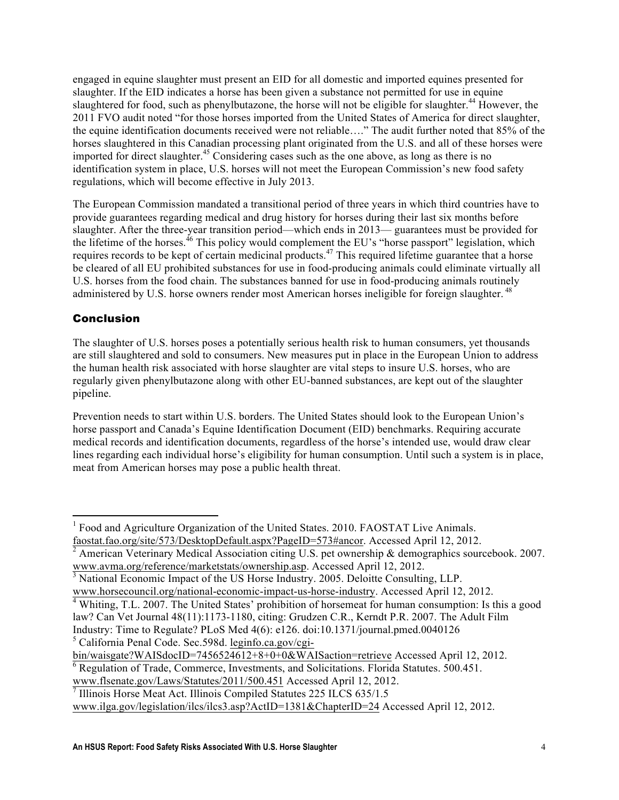engaged in equine slaughter must present an EID for all domestic and imported equines presented for slaughter. If the EID indicates a horse has been given a substance not permitted for use in equine slaughtered for food, such as phenylbutazone, the horse will not be eligible for slaughter.<sup>44</sup> However, the 2011 FVO audit noted "for those horses imported from the United States of America for direct slaughter, the equine identification documents received were not reliable…." The audit further noted that 85% of the horses slaughtered in this Canadian processing plant originated from the U.S. and all of these horses were imported for direct slaughter.<sup>45</sup> Considering cases such as the one above, as long as there is no identification system in place, U.S. horses will not meet the European Commission's new food safety regulations, which will become effective in July 2013.

The European Commission mandated a transitional period of three years in which third countries have to provide guarantees regarding medical and drug history for horses during their last six months before slaughter. After the three-year transition period—which ends in 2013— guarantees must be provided for the lifetime of the horses.<sup>46</sup> This policy would complement the EU's "horse passport" legislation, which requires records to be kept of certain medicinal products.<sup>47</sup> This required lifetime guarantee that a horse be cleared of all EU prohibited substances for use in food-producing animals could eliminate virtually all U.S. horses from the food chain. The substances banned for use in food-producing animals routinely administered by U.S. horse owners render most American horses ineligible for foreign slaughter.<sup>48</sup>

# Conclusion

The slaughter of U.S. horses poses a potentially serious health risk to human consumers, yet thousands are still slaughtered and sold to consumers. New measures put in place in the European Union to address the human health risk associated with horse slaughter are vital steps to insure U.S. horses, who are regularly given phenylbutazone along with other EU-banned substances, are kept out of the slaughter pipeline.

Prevention needs to start within U.S. borders. The United States should look to the European Union's horse passport and Canada's Equine Identification Document (EID) benchmarks. Requiring accurate medical records and identification documents, regardless of the horse's intended use, would draw clear lines regarding each individual horse's eligibility for human consumption. Until such a system is in place, meat from American horses may pose a public health threat.

<sup>5</sup> California Penal Code. Sec.598d. leginfo.ca.gov/cgi-

<u> 1989 - Johann Stein, fransk politik (d. 1989)</u>

<sup>&</sup>lt;sup>1</sup> Food and Agriculture Organization of the United States. 2010. FAOSTAT Live Animals.

faostat.fao.org/site/573/DesktopDefault.aspx?PageID=573#ancor. Accessed April 12, 2012.<br><sup>2</sup> American Veterinary Medical Association citing U.S. pet ownership & demographics sourcebook. 2007. www.avma.org/reference/marketstats/ownership.asp. Accessed April 12, 2012.<br><sup>3</sup> National Economic Impact of the US Horse Industry. 2005. Deloitte Consulting, LLP.

www.horsecouncil.org/national-economic-impact-us-horse-industry. Accessed April 12, 2012. <sup>4</sup> Whiting, T.L. 2007. The United States' prohibition of horsemeat for human consumption: Is this <sup>a</sup> good law? Can Vet Journal 48(11):1173-1180, citing: Grudzen C.R., Kerndt P.R. 2007. The Adult Film Industry: Time to Regulate? PLoS Med 4(6): e126. doi:10.1371/journal.pmed.0040126

bin/waisgate?WAISdocID=7456524612+8+0+0&WAISaction=retrieve Accessed April 12, 2012.<br><sup>6</sup> Regulation of Trade, Commerce, Investments, and Solicitations. Florida Statutes. 500.451.

www.flsenate.gov/Laws/Statutes/2011/500.451 Accessed April 12, 2012. <sup>7</sup> Illinois Horse Meat Act. Illinois Compiled Statutes <sup>225</sup> ILCS 635/1.5

www.ilga.gov/legislation/ilcs/ilcs3.asp?ActID=1381&ChapterID=24 Accessed April 12, 2012.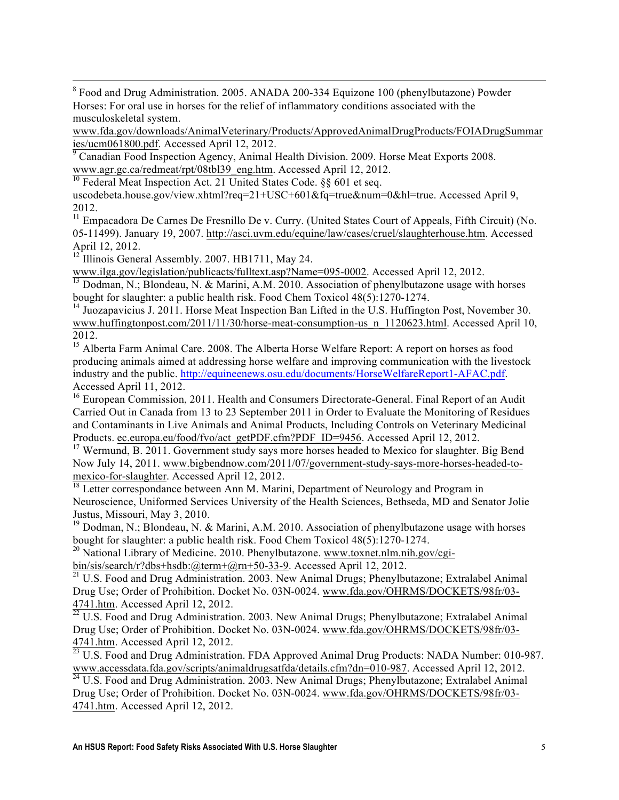<sup>8</sup> Food and Drug Administration. 2005. ANADA 200-334 Equizone 100 (phenylbutazone) Powder Horses: For oral use in horses for the relief of inflammatory conditions associated with the musculoskeletal system.

www.fda.gov/downloads/AnimalVeterinary/Products/ApprovedAnimalDrugProducts/FOIADrugSummar<br>ies/ucm061800.pdf. Accessed April 12, 2012.

<u> 1989 - Johann Stoff, fransk politik (f. 1989)</u>

Canadian Food Inspection Agency, Animal Health Division. 2009. Horse Meat Exports 2008. www.agr.gc.ca/redmeat/rpt/08tbl39\_eng.htm. Accessed April 12, 2012. <sup>10</sup> Federal Meat Inspection Act. 21 United States Code. §§ 601 et seq.

uscodebeta.house.gov/view.xhtml?req=21+USC+601&fq=true&num=0&hl=true. Accessed April 9, 2012.

<sup>11</sup> Empacadora De Carnes De Fresnillo De v. Curry. (United States Court of Appeals, Fifth Circuit) (No. 05-11499). January 19, 2007. http://asci.uvm.edu/equine/law/cases/cruel/slaughterhouse.htm. Accessed April 12, 2012.<br><sup>12</sup> Illinois General Assembly. 2007. HB1711, May 24.

www.ilga.gov/legislation/publicacts/fulltext.asp?Name=095-0002. Accessed April 12, 2012.<br><sup>13</sup> Dodman, N.; Blondeau, N. & Marini, A.M. 2010. Association of phenylbutazone usage with horses bought for slaughter: a public health risk. Food Chem Toxicol 48(5):1270-1274.

<sup>14</sup> Juozapavicius J. 2011. Horse Meat Inspection Ban Lifted in the U.S. Huffington Post, November 30. www.huffingtonpost.com/2011/11/30/horse-meat-consumption-us\_n\_1120623.html. Accessed April 10, 2012.

<sup>15</sup> Alberta Farm Animal Care. 2008. The Alberta Horse Welfare Report: A report on horses as food producing animals aimed at addressing horse welfare and improving communication with the livestock industry and the public. http://equineenews.osu.edu/documents/HorseWelfareReport1-AFAC.pdf. Accessed April 11, 2012.

<sup>16</sup> European Commission, 2011. Health and Consumers Directorate-General. Final Report of an Audit Carried Out in Canada from 13 to 23 September 2011 in Order to Evaluate the Monitoring of Residues and Contaminants in Live Animals and Animal Products, Including Controls on Veterinary Medicinal Products. ec.europa.eu/food/fvo/act\_getPDF.cfm?PDF\_ID=9456. Accessed April 12, 2012.<br><sup>17</sup> Wermund, B. 2011. Government study says more horses headed to Mexico for slaughter. Big Bend

Now July 14, 2011. www.bigbendnow.com/2011/07/government-study-says-more-horses-headed-to-<br>mexico-for-slaughter. Accessed April 12, 2012.

 $^{18}$  Letter correspondance between Ann M. Marini, Department of Neurology and Program in Neuroscience, Uniformed Services University of the Health Sciences, Bethseda, MD and Senator Jolie Justus, Missouri, May 3, 2010.

<sup>19</sup> Dodman, N.; Blondeau, N. & Marini, A.M. 2010. Association of phenylbutazone usage with horses bought for slaughter: a public health risk. Food Chem Toxicol 48(5):1270-1274.

<sup>20</sup> National Library of Medicine. 2010. Phenylbutazone. www.toxnet.nlm.nih.gov/cgi-<br>bin/sis/search/r?dbs+hsdb:@term+@rn+50-33-9. Accessed April 12, 2012.

 $\frac{1}{21}$  U.S. Food and Drug Administration. 2003. New Animal Drugs; Phenylbutazone; Extralabel Animal Drug Use; Order of Prohibition. Docket No. 03N-0024. www.fda.gov/OHRMS/DOCKETS/98fr/03-  $\frac{4741 \text{.htm}}{22}$ . Accessed April 12, 2012.<br> $\frac{22 \text{ U.S.} \text{ Food and Drug Administration}}{22 \text{ U.S.}}$  Food and Drug Administration. 2003. New Animal Drugs; Phenylbutazone; Extralabel Animal

Drug Use; Order of Prohibition. Docket No. 03N-0024. www.fda.gov/OHRMS/DOCKETS/98fr/03-

 $\frac{4741 \text{.htm}}{23}$ . Accessed April 12, 2012.<br><sup>23</sup> U.S. Food and Drug Administration. FDA Approved Animal Drug Products: NADA Number: 010-987.<br>www.accessdata.fda.gov/scripts/animaldrugsatfda/details.cfm?dn=010-987. Accesse

 $\frac{24 \text{ U.S. Food and Drug Administration. } 2003. \text{ New Animal Drugs; Phenylbutazone; Extralabel Animal}$ Drug Use; Order of Prohibition. Docket No. 03N-0024. www.fda.gov/OHRMS/DOCKETS/98fr/03- 4741.htm. Accessed April 12, 2012.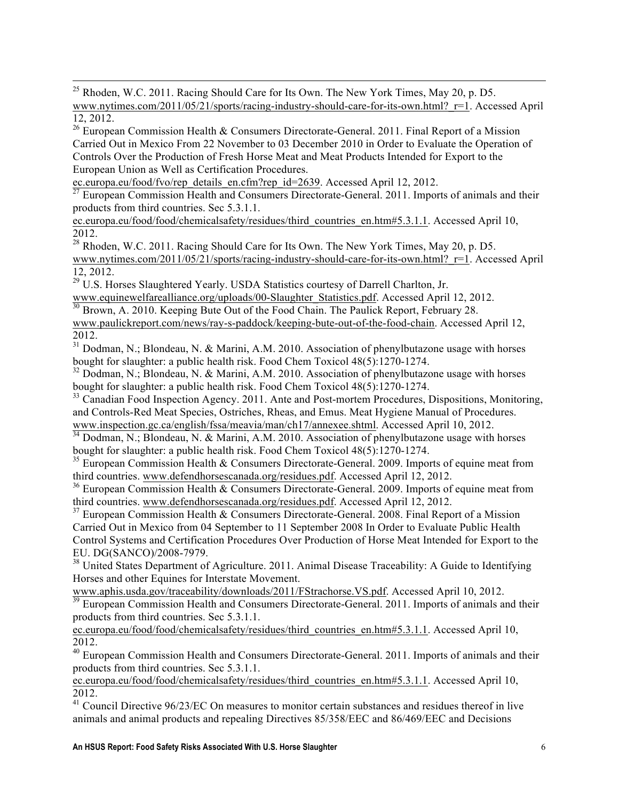$^{25}$  Rhoden, W.C. 2011. Racing Should Care for Its Own. The New York Times, May 20, p. D5. www.nytimes.com/2011/05/21/sports/racing-industry-should-care-for-its-own.html?\_r=1. Accessed April 12, 2012. <sup>26</sup> European Commission Health & Consumers Directorate-General. 2011. Final Report of <sup>a</sup> Mission

<u> 1989 - Johann Stoff, fransk politik (f. 1989)</u>

Carried Out in Mexico From 22 November to 03 December 2010 in Order to Evaluate the Operation of Controls Over the Production of Fresh Horse Meat and Meat Products Intended for Export to the European Union as Well as Certification Procedures.<br>ec.europa.eu/food/fvo/rep details en.cfm?rep id=2639. Accessed April 12, 2012.

 $\frac{1}{27}$  European Commission Health and Consumers Directorate-General. 2011. Imports of animals and their products from third countries. Sec 5.3.1.1.

ec.europa.eu/food/food/chemicalsafety/residues/third\_countries\_en.htm#5.3.1.1. Accessed April 10, 2012.

<sup>28</sup> Rhoden, W.C. 2011. Racing Should Care for Its Own. The New York Times, May 20, p. D5. www.nytimes.com/2011/05/21/sports/racing-industry-should-care-for-its-own.html? r=1. Accessed April 12, 2012.<br><sup>29</sup> U.S. Horses Slaughtered Yearly. USDA Statistics courtesy of Darrell Charlton, Jr.<br>www.equinewelfarealliance.org/uploads/00-Slaughter Statistics.pdf. Accessed April 12, 2012.

 $\frac{30}{30}$  Brown, A. 2010. Keeping Bute Out of the Food Chain. The Paulick Report, February 28. www.paulickreport.com/news/ray-s-paddock/keeping-bute-out-of-the-food-chain. Accessed April 12,

2012. <sup>31</sup> Dodman, N.; Blondeau, N. & Marini, A.M. 2010. Association of phenylbutazone usage with horses bought for slaughter: a public health risk. Food Chem Toxicol 48(5):1270-1274.

 $32$  Dodman, N.; Blondeau, N. & Marini, A.M. 2010. Association of phenylbutazone usage with horses bought for slaughter: a public health risk. Food Chem Toxicol 48(5):1270-1274.

<sup>33</sup> Canadian Food Inspection Agency. 2011. Ante and Post-mortem Procedures, Dispositions, Monitoring, and Controls-Red Meat Species, Ostriches, Rheas, and Emus. Meat Hygiene Manual of Procedures. www.inspection.gc.ca/english/fssa/meavia/man/ch17/annexee.shtml. Accessed April 10, 2012.

<sup>34</sup> Dodman, N.; Blondeau, N. & Marini, A.M. 2010. Association of phenylbutazone usage with horses bought for slaughter: a public health risk. Food Chem Toxicol 48(5):1270-1274.

<sup>35</sup> European Commission Health & Consumers Directorate-General. 2009. Imports of equine meat from third countries. www.defendhorsescanada.org/residues.pdf. Accessed April 12, 2012.<br><sup>36</sup> European Commission Health & Consumers Directorate-General. 2009. Imports of equine meat from

third countries. www.defendhorsescanada.org/residues.pdf. Accessed April 12, 2012.<br><sup>37</sup> European Commission Health & Consumers Directorate-General. 2008. Final Report of a Mission

Carried Out in Mexico from 04 September to 11 September 2008 In Order to Evaluate Public Health Control Systems and Certification Procedures Over Production of Horse Meat Intended for Export to the EU. DG(SANCO)/2008-7979.

<sup>38</sup> United States Department of Agriculture. 2011. Animal Disease Traceability: A Guide to Identifying Horses and other Equines for Interstate Movement.

www.aphis.usda.gov/traceability/downloads/2011/FStrachorse.VS.pdf. Accessed April 10, 2012.

<sup>39</sup> European Commission Health and Consumers Directorate-General. 2011. Imports of animals and their products from third countries. Sec 5.3.1.1.

ec.europa.eu/food/food/chemicalsafety/residues/third\_countries\_en.htm#5.3.1.1. Accessed April 10, 2012.

<sup>40</sup> European Commission Health and Consumers Directorate-General. 2011. Imports of animals and their products from third countries. Sec 5.3.1.1.

ec.europa.eu/food/food/chemicalsafety/residues/third\_countries\_en.htm#5.3.1.1. Accessed April 10, 2012.

 $^{41}$  Council Directive 96/23/EC On measures to monitor certain substances and residues thereof in live animals and animal products and repealing Directives 85/358/EEC and 86/469/EEC and Decisions